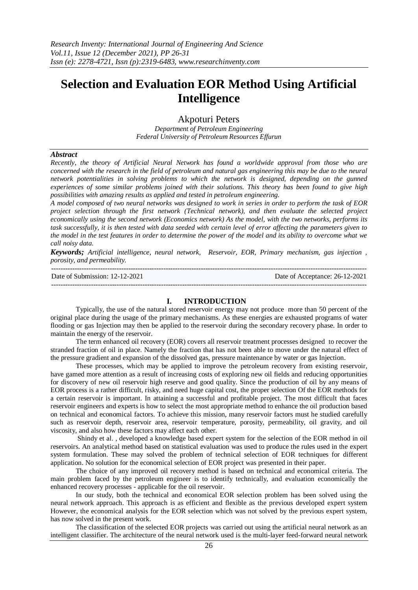# **Selection and Evaluation EOR Method Using Artificial Intelligence**

# Akpoturi Peters

*Department of Petroleum Engineering Federal University of Petroleum Resources Effurun*

#### *Abstract*

*Recently, the theory of Artificial Neural Network has found a worldwide approval from those who are concerned with the research in the field of petroleum and natural gas engineering this may be due to the neural network potentialities in solving problems to which the network is designed, depending on the gunned experiences of some similar problems joined with their solutions. This theory has been found to give high possibilities with amazing results as applied and tested in petroleum engineering.*

*A model composed of two neural networks was designed to work in series in order to perform the task of EOR project selection through the first network (Technical network), and then evaluate the selected project economically using the second network (Economics network) As the model, with the two networks, performs its task successfully, it is then tested with data seeded with certain level of error affecting the parameters given to the model in the test features in order to determine the power of the model and its ability to overcome what we call noisy data.*

*Keywords; Artificial intelligence, neural network, Reservoir, EOR, Primary mechanism, gas injection , porosity, and permeability.*

--------------------------------------------------------------------------------------------------------------------------------------- Date of Submission: 12-12-2021 Date of Acceptance: 26-12-2021 ---------------------------------------------------------------------------------------------------------------------------------------

#### **I. INTRODUCTION**

Typically, the use of the natural stored reservoir energy may not produce more than 50 percent of the original place during the usage of the primary mechanisms. As these energies are exhausted programs of water flooding or gas Injection may then be applied to the reservoir during the secondary recovery phase. In order to maintain the energy of the reservoir.

The term enhanced oil recovery (EOR) covers all reservoir treatment processes designed to recover the stranded fraction of oil in place. Namely the fraction that has not been able to move under the natural effect of the pressure gradient and expansion of the dissolved gas, pressure maintenance by water or gas Injection.

These processes, which may be applied to improve the petroleum recovery from existing reservoir, have gamed more attention as a result of increasing costs of exploring new oil fields and reducing opportunities for discovery of new oil reservoir high reserve and good quality. Since the production of oil by any means of EOR process is a rather difficult, risky, and need huge capital cost, the proper selection Of the EOR methods for a certain reservoir is important. In attaining a successful and profitable project. The most difficult that faces reservoir engineers and experts is how to select the most appropriate method to enhance the oil production based on technical and economical factors. To achieve this mission, many reservoir factors must he studied carefully such as reservoir depth, reservoir area, reservoir temperature, porosity, permeability, oil gravity, and oil viscosity, and also how these factors may affect each other.

Shindy et al. , developed a knowledge based expert system for the selection of the EOR method in oil reservoirs. An analytical method based on statistical evaluation was used to produce the rules used in the expert system formulation. These may solved the problem of technical selection of EOR techniques for different application. No solution for the economical selection of EOR project was presented in their paper.

The choice of any improved oil recovery method is based on technical and economical criteria. The main problem faced by the petroleum engineer is to identify technically, and evaluation economically the enhanced recovery processes - applicable for the oil reservoir.

In our study, both the technical and economical EOR selection problem has been solved using the neural network approach. This approach is as efficient and flexible as the previous developed expert system However, the economical analysis for the EOR selection which was not solved by the previous expert system, has now solved in the present work.

The classification of the selected EOR projects was carried out using the artificial neural network as an intelligent classifier. The architecture of the neural network used is the multi-layer feed-forward neural network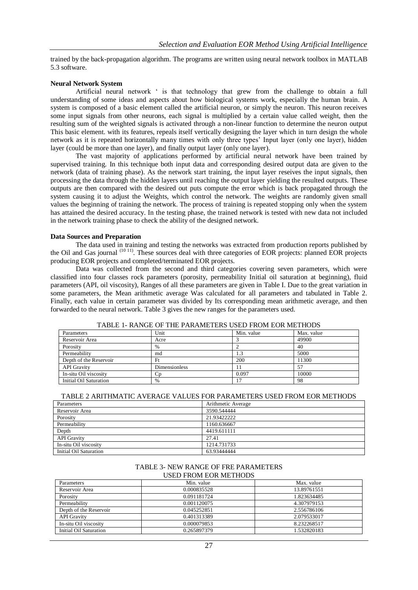trained by the back-propagation algorithm. The programs are written using neural network toolbox in MATLAB 5.3 software.

#### **Neural Network System**

Artificial neural network ' is that technology that grew from the challenge to obtain a full understanding of some ideas and aspects about how biological systems work, especially the human brain. A system is composed of a basic element called the artificial neuron, or simply the neuron. This neuron receives some input signals from other neurons, each signal is multiplied by a certain value called weight, then the resulting sum of the weighted signals is activated through a non-linear function to determine the neuron output This basic element. with its features, repeals itself vertically designing the layer which in turn design the whole network as it is repeated horizontally many times with only three types' Input layer (only one layer), hidden layer (could be more than one layer), and finally output layer (only one layer).

The vast majority of applications performed by artificial neural network have been trained by supervised training. In this technique both input data and corresponding desired output data are given to the network (data of training phase). As the network start training, the input layer reseives the input signals, then processing the data through the hidden layers until reaching the output layer yielding the resulted outputs. These outputs are then compared with the desired out puts compute the error which is back propagated through the system causing it to adjust the Weights, which control the network. The weights are randomly given small values the beginning of training the network. The process of training is repeated stopping only when the system has attained the desired accuracy. In the testing phase, the trained network is tested with new data not included in the network training phase to check the ability of the designed network.

#### **Data Sources and Preparation**

The data used in training and testing the networks was extracted from production reports published by the Oil and Gas journal <sup>(10 11)</sup>. These sources deal with three categories of EOR projects: planned EOR projects producing EOR projects and completed/terminated EOR projects.

Data was collected from the second and third categories covering seven parameters, which were classified into four classes rock parameters (porosity, permeability Initial oil saturation at beginning), fluid parameters (API, oil viscosity), Ranges of all these parameters are given in Table I. Due to the great variation in some parameters, the Mean arithmetic average Was calculated for all parameters and tabulated in Table 2. Finally, each value in certain parameter was divided by Its corresponding mean arithmetic average, and then forwarded to the neural network. Table 3 gives the new ranges for the parameters used.

| 111000 1 101000 01 1110 1110 1010 000 11000 11000 101011000 |               |            |            |
|-------------------------------------------------------------|---------------|------------|------------|
| Parameters                                                  | Unit          | Min. value | Max. value |
| Reservoir Area                                              | Acre          |            | 49900      |
| Porosity                                                    | %             |            | 40         |
| Permeability                                                | md            | 1.3        | 5000       |
| Depth of the Reservoir                                      | Ft            | 200        | 11300      |
| <b>API</b> Gravity                                          | Dimensionless | 11         |            |
| In-situ Oil viscosity                                       | Cp            | 0.097      | 10000      |
| Initial Oil Saturation                                      | %             | 17         | 98         |

TABLE 1- RANGE OF THE PARAMETERS USED FROM EOR METHODS

#### TABLE 2 ARITHMATIC AVERAGE VALUES FOR PARAMETERS USED FROM EOR METHODS

| Parameters             | Arithmetic Average |
|------------------------|--------------------|
| Reservoir Area         | 3590.544444        |
| Porosity               | 21.93422222        |
| Permeability           | 1160.636667        |
| Depth                  | 4419.611111        |
| <b>API</b> Gravity     | 27.41              |
| In-situ Oil viscosity  | 1214.731733        |
| Initial Oil Saturation | 63.93444444        |

#### TABLE 3- NEW RANGE OF FRE PARAMETERS USED FROM EOR METHODS

| Parameters             | Min. value  | Max. value  |
|------------------------|-------------|-------------|
| Reservoir Area         | 0.000835528 | 13.89761551 |
| Porosity               | 0.091181724 | 1.823634485 |
| Permeability           | 0.001120075 | 4.307979153 |
| Depth of the Reservoir | 0.045252851 | 2.556786106 |
| <b>API</b> Gravity     | 0.401313389 | 2.079533017 |
| In-situ Oil viscosity  | 0.000079853 | 8.232268517 |
| Initial Oil Saturation | 0.265897379 | 1.532820183 |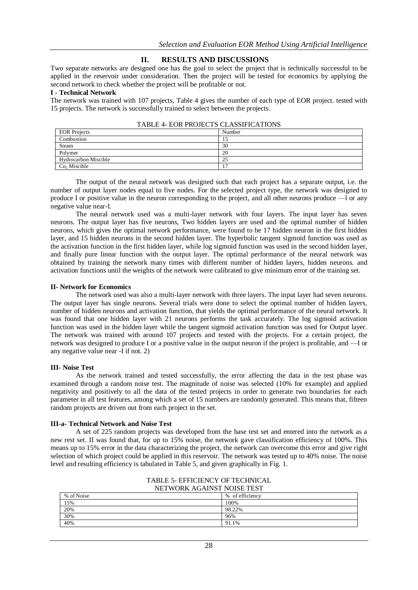# **II. RESULTS AND DISCUSSIONS**

Two separate networks are designed one has the goal to select the project that is technically successful to be applied in the reservoir under consideration. Then the project will be tested for economics by applying the second network to check whether the project will be profitable or not.

### **I - Technical Network**

The network was trained with 107 projects, Table 4 gives the number of each type of EOR project. tested with 15 projects. The network is successfully trained to select between the projects.

| TABLE 4- EUR PROJECTS CLASSIFICATIONS |        |  |
|---------------------------------------|--------|--|
| <b>EOR</b> Projects                   | Number |  |
| Combustion                            |        |  |
| Steam                                 | 30     |  |
| Polymer                               | 20     |  |
| Hydrocarbon Miscible                  | 25     |  |
| $Co2$ Miscible                        |        |  |
|                                       |        |  |

|  | TABLE 4- EOR PROJECTS CLASSIFICATIONS |
|--|---------------------------------------|
|  |                                       |

The output of the neural network was designed such that each project has a separate output, i.e. the number of output layer nodes equal to five nodes. For the selected project type, the network was designed to produce I or positive value in the neuron corresponding to the project, and all other neurons produce —l or any negative value near-I.

The neural network used was a multi-layer network with four layers. The input layer has seven neurons. The output layer has five neurons, Two hidden layers are used and the optimal number of hidden neurons, which gives the optimal network performance, were found to be 17 hidden neuron in the first hidden layer, and 15 hidden neurons in the second hidden layer. The hyperbolic tangent sigmoid function was used as the activation function in the first hidden layer, while log sigmoid function was used in the second hidden layer, and finally pure linear function with the output layer. The optimal performance of the neural network was obtained by training the network many times with different number of hidden layers, hidden neurons. and activation functions until the weights of the network were calibrated to give minimum error of the training set.

## **II- Network for Economics**

The network used was also a multi-layer network with three layers. The input layer had seven neurons. The output layer has single neurons. Several trials were done to select the optimal number of hidden layers, number of hidden neurons and activation function, that yields the optimal performance of the neural network. It was found that one hidden layer with 21 neurons performs the task accurately. The log sigmoid activation function was used in the hidden layer while the tangent sigmoid activation function was used for Output layer. The network was trained with around 107 projects and tested with the projects. For a certain project, the network was designed to produce I or a positive value in the output neuron if the project is profitable, and —I or any negative value near -I if not. 2)

## **III- Noise Test**

As the network trained and tested successfully, the error affecting the data in the test phase was examined through a random noise test. The magnitude of noise was selected (10% for example) and applied negativity and positively to all the data of the tested projects in order to generate two boundaries for each parameter in all test features, among which a set of 15 numbers are randomly generated. This means that, fifteen random projects are driven out from each project in the set.

## **III-a- Technical Network and Noise Test**

A set of 225 random projects was developed from the base test set and entered into the network as a new rest set. II was found that, for up to 15% noise, the network gave classification efficiency of 100%. This means up to 15% error in the data characterizing the project, the network can overcome this error and give right selection of which project could be applied in this reservoir. The network was tested up to 40% noise. The noise level and resulting efficiency is tabulated in Table 5, and given graphically in Fig. 1.

| NEI WORK AGAINST NOISE TEST |                 |
|-----------------------------|-----------------|
| % of Noise                  | % of efficiency |
| 15%                         | 100%            |
| 20%                         | 98.22%          |
| 30%                         | 96%             |
| 40%                         | 91.1%           |

### TABLE 5- EFFICIENCY OF TECHNICAL NETWORK AGAINST NOISE TEST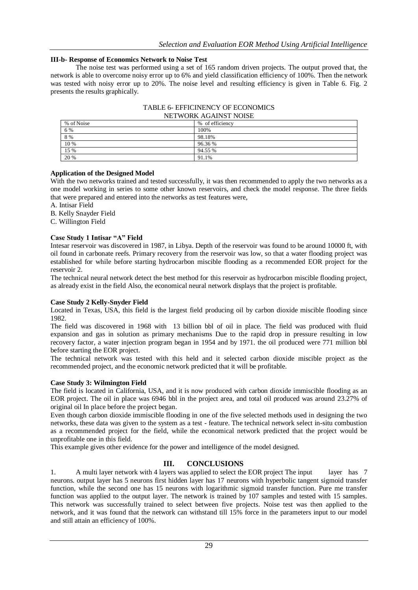# **III-b- Response of Economics Network to Noise Test**

The noise test was performed using a set of 165 random driven projects. The output proved that, the network is able to overcome noisy error up to 6% and yield classification efficiency of 100%. Then the network was tested with noisy error up to 20%. The noise level and resulting efficiency is given in Table 6. Fig. 2 presents the results graphically.

| 1121 11 01111 1101 111 101 1101 102 |                 |  |
|-------------------------------------|-----------------|--|
| % of Noise                          | % of efficiency |  |
| 6 %                                 | 100%            |  |
| 8 %                                 | 98.18%          |  |
| 10 %                                | 96.36 %         |  |
| 15 %                                | 94.55 %         |  |
| 20 %                                | 91.1%           |  |

TABLE 6- EFFICINENCY OF ECONOMICS NETWORK AGAINST NOISE

# **Application of the Designed Model**

With the two networks trained and tested successfully, it was then recommended to apply the two networks as a one model working in series to some other known reservoirs, and check the model response. The three fields that were prepared and entered into the networks as test features were,

A. Intisar Field

B. Kelly Snayder Field

C. Willington Field

## **Case Study 1 Intisar "A" Field**

Intesar reservoir was discovered in 1987, in Libya. Depth of the reservoir was found to be around 10000 ft, with oil found in carbonate reefs. Primary recovery from the reservoir was low, so that a water flooding project was established for while before starting hydrocarbon miscible flooding as a recommended EOR project for the reservoir 2.

The technical neural network detect the best method for this reservoir as hydrocarbon miscible flooding project, as already exist in the field Also, the economical neural network displays that the project is profitable.

## **Case Study 2 Kelly-Snyder Field**

Located in Texas, USA, this field is the largest field producing oil by carbon dioxide miscible flooding since 1982.

The field was discovered in 1968 with 13 billion bbl of oil in place. The field was produced with fluid expansion and gas in solution as primary mechanisms Due to the rapid drop in pressure resulting in low recovery factor, a water injection program began in 1954 and by 1971. the oil produced were 771 million bbl before starting the EOR project.

The technical network was tested with this held and it selected carbon dioxide miscible project as the recommended project, and the economic network predicted that it will be profitable.

# **Case Study 3: Wilmington Field**

The field is located in California, USA, and it is now produced with carbon dioxide immiscible flooding as an EOR project. The oil in place was 6946 bbl in the project area, and total oil produced was around 23.27% of original oil In place before the project began.

Even though carbon dioxide immiscible flooding in one of the five selected methods used in designing the two networks, these data was given to the system as a test - feature. The technical network select in-situ combustion as a recommended project for the field, while the economical network predicted that the project would be unprofitable one in this field.

This example gives other evidence for the power and intelligence of the model designed.

# **III. CONCLUSIONS**

1. A multi layer network with 4 layers was applied to select the EOR project The input layer has 7 neurons. output layer has 5 neurons first hidden layer has 17 neurons with hyperbolic tangent sigmoid transfer function, while the second one has 15 neurons with logarithmic sigmoid transfer function. Pure me transfer function was applied to the output layer. The network is trained by 107 samples and tested with 15 samples. This network was successfully trained to select between five projects. Noise test was then applied to the network, and it was found that the network can withstand till 15% force in the parameters input to our model and still attain an efficiency of 100%.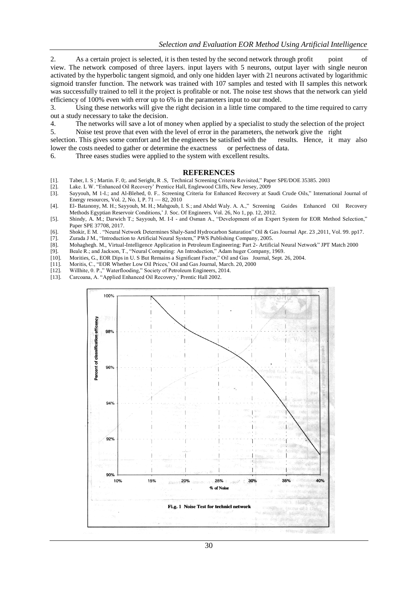2. As a certain project is selected, it is then tested by the second network through profit point of view. The network composed of three layers. input layers with 5 neurons, output layer with single neuron activated by the hyperbolic tangent sigmoid, and only one hidden layer with 21 neurons activated by logarithmic sigmoid transfer function. The network was trained with 107 samples and tested with II samples this network was successfully trained to tell it the project is profitable or not. The noise test shows that the network can yield efficiency of 100% even with error up to 6% in the parameters input to our model.

3. Using these networks will give the right decision in a little time compared to the time required to carry out a study necessary to take the decision.

4. The networks will save a lot of money when applied by a specialist to study the selection of the project

5. Noise test prove that even with the level of error in the parameters, the network give the right selection. This gives some comfort and let the engineers be satisfied with the results. Hence, it may also

- lower the costs needed to gather or determine the exactness or perfectness of data.
- 6. Three eases studies were applied to the system with excellent results.

#### **REFERENCES**

- [1]. Taber, I. S; Martin. F. 0;. and Seright, R.S, Technical Screening Criteria Revisited," Paper SPE/DOE 35385. 2003 [2]. Lake. L W. "Enhanced Oil Recovery' Prentice Hall, Englewood Cliffs, New Jersey, 2009
- Lake. L W. "Enhanced Oil Recovery' Prentice Hall, Englewood Cliffs, New Jersey, 2009
- [3]. Sayyouh, M 1-I.; and Al-Blehed, 0. F.. Screening Criteria for Enhanced Recovery at Saudi Crude Oils," International Journal of Energy resources, Vol. 2, No. I, P. 71 — 82, 2010
- [4]. El- Batanony, M. H.; Sayyouh, M. H.; Mahgoub, I. S.; and Abdel Waly. A. A.," Screening Guides Enhanced Oil Recovery Methods Egyptian Reservoir Conditions,' J. Soc. Of Engineers. Vol. 26, No 1, pp. 12, 2012.
- [5]. Shindy, A. M.; Darwich T.; Sayyouh, M. I-I and Osman A., "Development of an Expert System for EOR Method Selection," Paper SPE 37708, 2017.

[6]. Shokir, E M. . "Neural Network Determines Shaly-Sand Hydrocarbon Saturation" Oil & Gas Journal Apr. 23, 2011, Vol. 99. pp17. [7]. Zurada J M., "Introduction to Artificial Neural System," PWS Publishing Company, 2005.

- Zurada J M., "Introduction to Artificial Neural System," PWS Publishing Company, 2005.
- [8]. Mohaghegh. M., Virtual-Intelligence Application in Petroleum Engineering: Part 2- Artificial Neural Network" JPT Match 2000
- [9]. Beale R.; and Jackson, T., "Neural Computing: An Introduction," Adam huger Company, 1969.
- [10]. Morities, G., EOR Dips in U. S But Remains a Significant Factor," Oil and Gas Journal, Sept. 26, 2004.
- [11]. Moritis, C., "EOR Whether Low Oil Prices,' Oil and Gas Journal, March. 20, 2000 [12]. Willhite, 0. P.," Waterflooding," Society of Petroleum Engineers, 2014.
- [13]. Carcoana, A. "Applied Enhanced Oil Recovery,' Prentic Hall 2002.